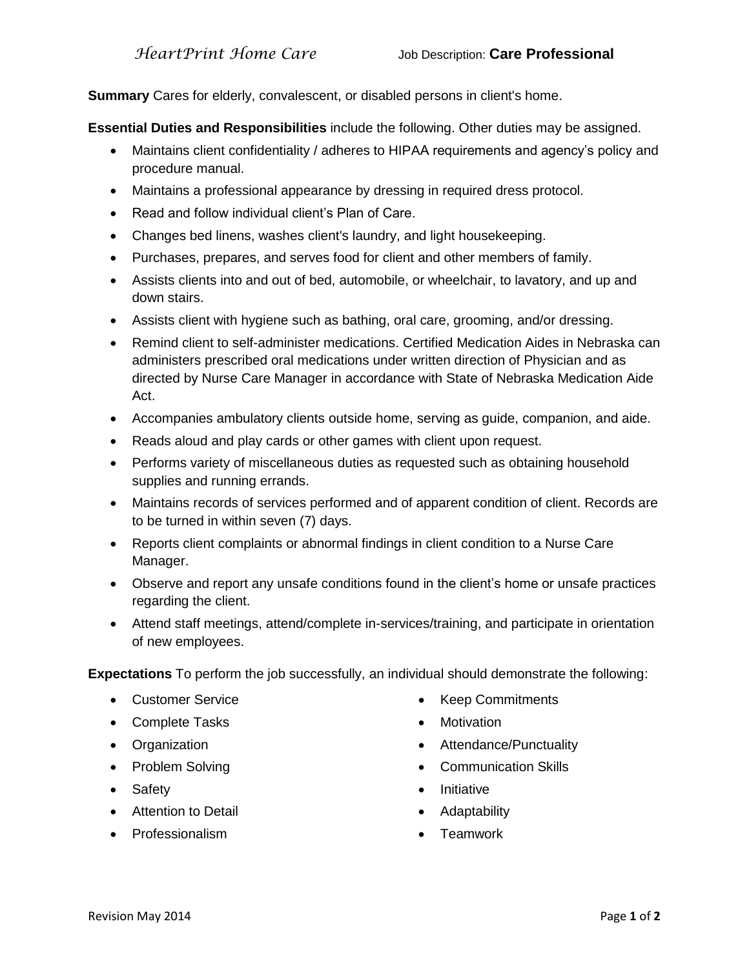**Summary** Cares for elderly, convalescent, or disabled persons in client's home.

**Essential Duties and Responsibilities** include the following. Other duties may be assigned.

- Maintains client confidentiality / adheres to HIPAA requirements and agency's policy and procedure manual.
- Maintains a professional appearance by dressing in required dress protocol.
- Read and follow individual client's Plan of Care.
- Changes bed linens, washes client's laundry, and light housekeeping.
- Purchases, prepares, and serves food for client and other members of family.
- Assists clients into and out of bed, automobile, or wheelchair, to lavatory, and up and down stairs.
- Assists client with hygiene such as bathing, oral care, grooming, and/or dressing.
- Remind client to self-administer medications. Certified Medication Aides in Nebraska can administers prescribed oral medications under written direction of Physician and as directed by Nurse Care Manager in accordance with State of Nebraska Medication Aide Act.
- Accompanies ambulatory clients outside home, serving as guide, companion, and aide.
- Reads aloud and play cards or other games with client upon request.
- Performs variety of miscellaneous duties as requested such as obtaining household supplies and running errands.
- Maintains records of services performed and of apparent condition of client. Records are to be turned in within seven (7) days.
- Reports client complaints or abnormal findings in client condition to a Nurse Care Manager.
- Observe and report any unsafe conditions found in the client's home or unsafe practices regarding the client.
- Attend staff meetings, attend/complete in-services/training, and participate in orientation of new employees.

**Expectations** To perform the job successfully, an individual should demonstrate the following:

- Customer Service
- Complete Tasks
- Organization
- Problem Solving
- Safety
- Attention to Detail
- Professionalism
- Keep Commitments
- Motivation
- Attendance/Punctuality
- Communication Skills
- Initiative
- Adaptability
- Teamwork